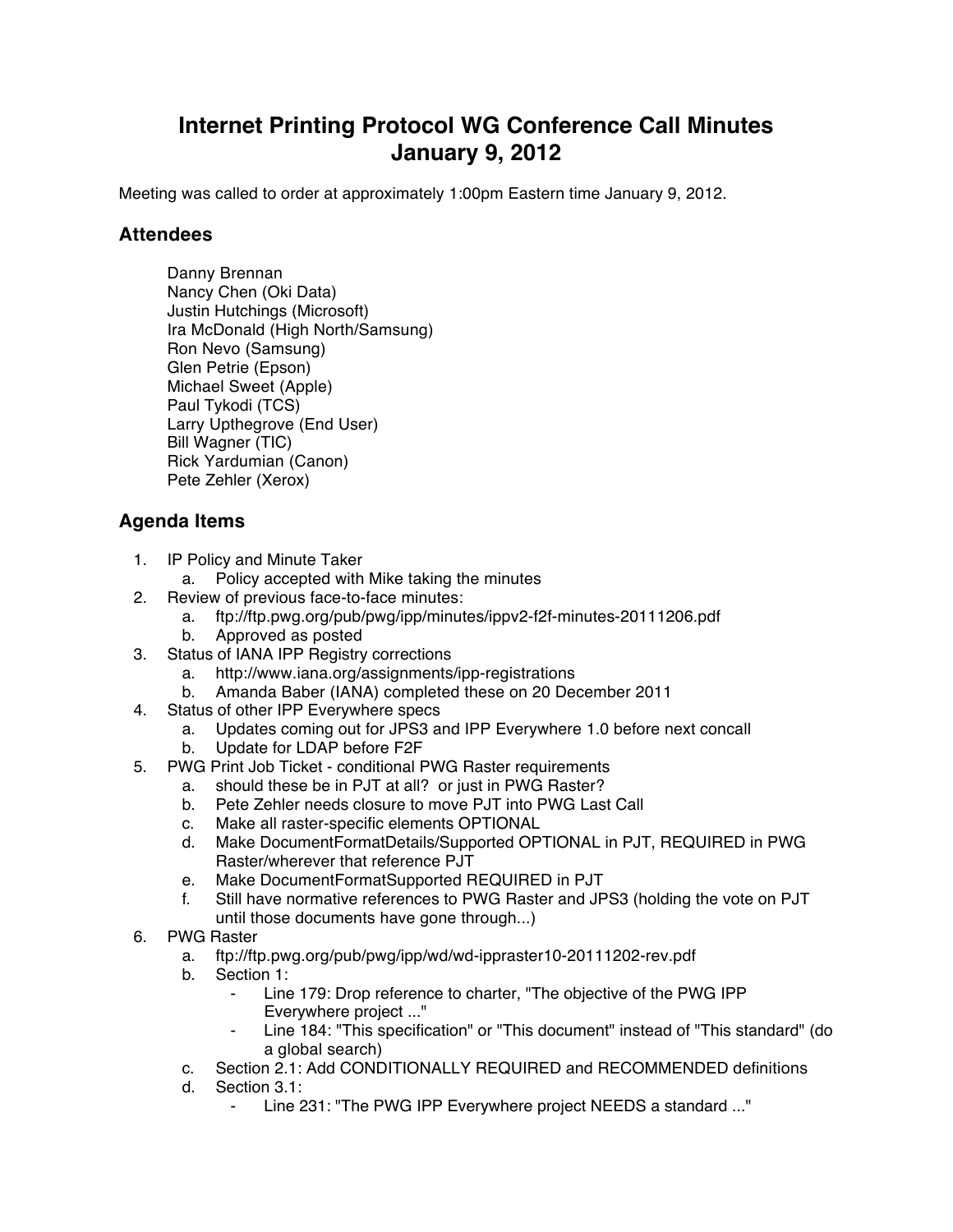## **Internet Printing Protocol WG Conference Call Minutes January 9, 2012**

Meeting was called to order at approximately 1:00pm Eastern time January 9, 2012.

## **Attendees**

Danny Brennan Nancy Chen (Oki Data) Justin Hutchings (Microsoft) Ira McDonald (High North/Samsung) Ron Nevo (Samsung) Glen Petrie (Epson) Michael Sweet (Apple) Paul Tykodi (TCS) Larry Upthegrove (End User) Bill Wagner (TIC) Rick Yardumian (Canon) Pete Zehler (Xerox)

## **Agenda Items**

- 1. IP Policy and Minute Taker
	- a. Policy accepted with Mike taking the minutes
- 2. Review of previous face-to-face minutes:
	- a. ftp://ftp.pwg.org/pub/pwg/ipp/minutes/ippv2-f2f-minutes-20111206.pdf
	- b. Approved as posted
- 3. Status of IANA IPP Registry corrections
	- a. http://www.iana.org/assignments/ipp-registrations
	- b. Amanda Baber (IANA) completed these on 20 December 2011
- 4. Status of other IPP Everywhere specs
	- a. Updates coming out for JPS3 and IPP Everywhere 1.0 before next concall b. Update for LDAP before F2F
- 5. PWG Print Job Ticket conditional PWG Raster requirements
	- a. should these be in PJT at all? or just in PWG Raster?
		- b. Pete Zehler needs closure to move PJT into PWG Last Call
		- c. Make all raster-specific elements OPTIONAL
		- d. Make DocumentFormatDetails/Supported OPTIONAL in PJT, REQUIRED in PWG Raster/wherever that reference PJT
		- e. Make DocumentFormatSupported REQUIRED in PJT
		- f. Still have normative references to PWG Raster and JPS3 (holding the vote on PJT until those documents have gone through...)
- 6. PWG Raster
	- a. ftp://ftp.pwg.org/pub/pwg/ipp/wd/wd-ippraster10-20111202-rev.pdf
	- b. Section 1:
		- Line 179: Drop reference to charter, "The objective of the PWG IPP Everywhere project ..."
		- ⁃ Line 184: "This specification" or "This document" instead of "This standard" (do a global search)
	- c. Section 2.1: Add CONDITIONALLY REQUIRED and RECOMMENDED definitions
	- d. Section 3.1:
		- Line 231: "The PWG IPP Everywhere project NEEDS a standard ..."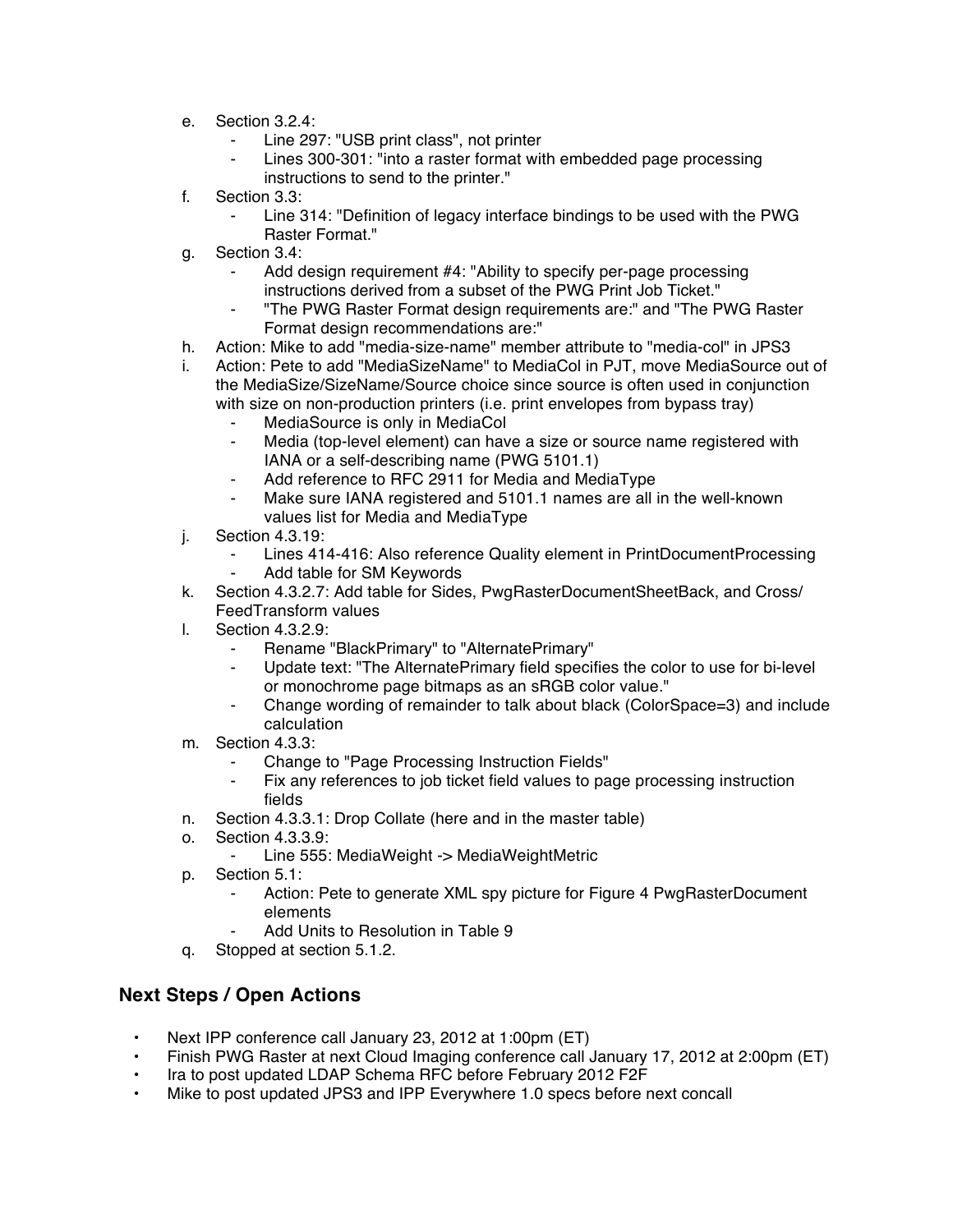- e. Section 3.2.4:
	- Line 297: "USB print class", not printer
	- Lines 300-301: "into a raster format with embedded page processing instructions to send to the printer."
- f. Section 3.3:
	- Line 314: "Definition of legacy interface bindings to be used with the PWG Raster Format."
- g. Section 3.4:
	- Add design requirement #4: "Ability to specify per-page processing instructions derived from a subset of the PWG Print Job Ticket."
	- ⁃ "The PWG Raster Format design requirements are:" and "The PWG Raster Format design recommendations are:"
- h. Action: Mike to add "media-size-name" member attribute to "media-col" in JPS3
- i. Action: Pete to add "MediaSizeName" to MediaCol in PJT, move MediaSource out of the MediaSize/SizeName/Source choice since source is often used in conjunction with size on non-production printers (i.e. print envelopes from bypass tray)
	- ⁃ MediaSource is only in MediaCol
	- ⁃ Media (top-level element) can have a size or source name registered with IANA or a self-describing name (PWG 5101.1)
	- ⁃ Add reference to RFC 2911 for Media and MediaType
	- Make sure IANA registered and 5101.1 names are all in the well-known values list for Media and MediaType
- j. Section 4.3.19:
	- ⁃ Lines 414-416: Also reference Quality element in PrintDocumentProcessing Add table for SM Keywords
- k. Section 4.3.2.7: Add table for Sides, PwgRasterDocumentSheetBack, and Cross/ FeedTransform values
- l. Section 4.3.2.9:
	- Rename "BlackPrimary" to "AlternatePrimary"
	- Update text: "The AlternatePrimary field specifies the color to use for bi-level or monochrome page bitmaps as an sRGB color value."
	- Change wording of remainder to talk about black (ColorSpace=3) and include calculation
- m. Section 4.3.3:
	- Change to "Page Processing Instruction Fields"
	- Fix any references to job ticket field values to page processing instruction fields
- n. Section 4.3.3.1: Drop Collate (here and in the master table)
- o. Section 4.3.3.9:
	- Line 555: MediaWeight -> MediaWeightMetric
- p. Section 5.1:
	- Action: Pete to generate XML spy picture for Figure 4 PwgRasterDocument elements
	- ⁃ Add Units to Resolution in Table 9
- q. Stopped at section 5.1.2.

## **Next Steps / Open Actions**

- Next IPP conference call January 23, 2012 at 1:00pm (ET)
- Finish PWG Raster at next Cloud Imaging conference call January 17, 2012 at 2:00pm (ET)
- Ira to post updated LDAP Schema RFC before February 2012 F2F
- Mike to post updated JPS3 and IPP Everywhere 1.0 specs before next concall